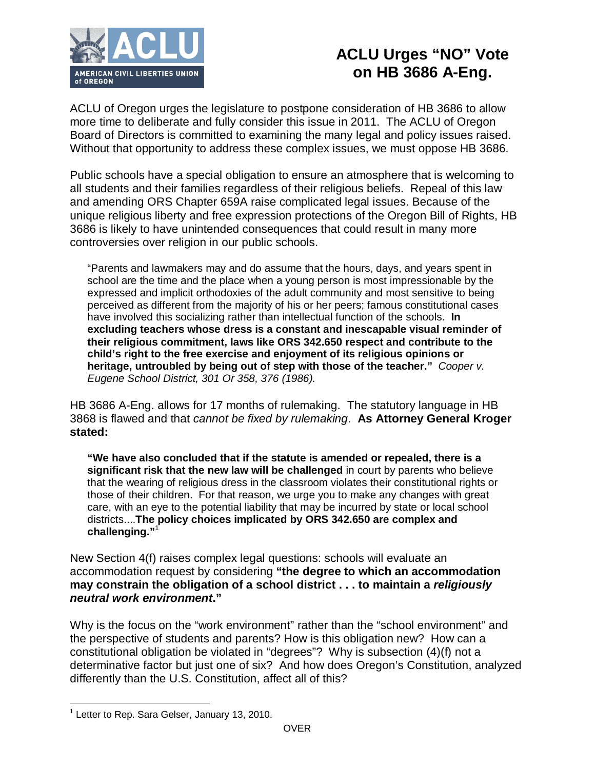

## **ACLU Urges "NO" Vote on HB 3686 A-Eng.**

ACLU of Oregon urges the legislature to postpone consideration of HB 3686 to allow more time to deliberate and fully consider this issue in 2011. The ACLU of Oregon Board of Directors is committed to examining the many legal and policy issues raised. Without that opportunity to address these complex issues, we must oppose HB 3686.

Public schools have a special obligation to ensure an atmosphere that is welcoming to all students and their families regardless of their religious beliefs. Repeal of this law and amending ORS Chapter 659A raise complicated legal issues. Because of the unique religious liberty and free expression protections of the Oregon Bill of Rights, HB 3686 is likely to have unintended consequences that could result in many more controversies over religion in our public schools.

"Parents and lawmakers may and do assume that the hours, days, and years spent in school are the time and the place when a young person is most impressionable by the expressed and implicit orthodoxies of the adult community and most sensitive to being perceived as different from the majority of his or her peers; famous constitutional cases have involved this socializing rather than intellectual function of the schools. **In excluding teachers whose dress is a constant and inescapable visual reminder of their religious commitment, laws like ORS 342.650 respect and contribute to the child's right to the free exercise and enjoyment of its religious opinions or heritage, untroubled by being out of step with those of the teacher."** *Cooper v. Eugene School District, 301 Or 358, 376 (1986).*

HB 3686 A-Eng. allows for 17 months of rulemaking. The statutory language in HB 3868 is flawed and that *cannot be fixed by rulemaking*. **As Attorney General Kroger stated:**

**"We have also concluded that if the statute is amended or repealed, there is a significant risk that the new law will be challenged** in court by parents who believe that the wearing of religious dress in the classroom violates their constitutional rights or those of their children. For that reason, we urge you to make any changes with great care, with an eye to the potential liability that may be incurred by state or local school districts....**The policy choices implicated by ORS 342.650 are complex and challenging."**<sup>1</sup>

New Section 4(f) raises complex legal questions: schools will evaluate an accommodation request by considering **"the degree to which an accommodation may constrain the obligation of a school district . . . to maintain a** *religiously neutral work environment***."**

Why is the focus on the "work environment" rather than the "school environment" and the perspective of students and parents? How is this obligation new? How can a constitutional obligation be violated in "degrees"? Why is subsection (4)(f) not a determinative factor but just one of six? And how does Oregon's Constitution, analyzed differently than the U.S. Constitution, affect all of this?

 $\overline{a}$ 

 $1$  Letter to Rep. Sara Gelser, January 13, 2010.